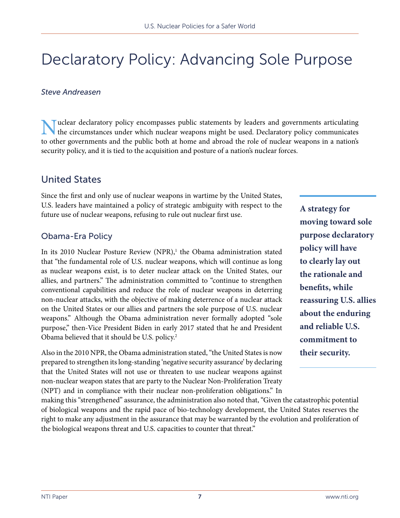# Declaratory Policy: Advancing Sole Purpose

#### *Steve Andreasen*

Wuclear declaratory policy encompasses public statements by leaders and governments articulating<br>the circumstances under which nuclear weapons might be used. Declaratory policy communicates to other governments and the public both at home and abroad the role of nuclear weapons in a nation's security policy, and it is tied to the acquisition and posture of a nation's nuclear forces.

#### United States

Since the first and only use of nuclear weapons in wartime by the United States, U.S. leaders have maintained a policy of strategic ambiguity with respect to the future use of nuclear weapons, refusing to rule out nuclear first use.

#### Obama-Era Policy

In its 2010 Nuclear Posture Review (NPR),<sup>1</sup> the Obama administration stated that "the fundamental role of U.S. nuclear weapons, which will continue as long as nuclear weapons exist, is to deter nuclear attack on the United States, our allies, and partners." The administration committed to "continue to strengthen conventional capabilities and reduce the role of nuclear weapons in deterring non-nuclear attacks, with the objective of making deterrence of a nuclear attack on the United States or our allies and partners the sole purpose of U.S. nuclear weapons." Although the Obama administration never formally adopted "sole purpose," then-Vice President Biden in early 2017 stated that he and President Obama believed that it should be U.S. policy.2

Also in the 2010 NPR, the Obama administration stated, "the United States is now prepared to strengthen its long-standing 'negative security assurance' by declaring that the United States will not use or threaten to use nuclear weapons against non-nuclear weapon states that are party to the Nuclear Non-Proliferation Treaty (NPT) and in compliance with their nuclear non-proliferation obligations." In

making this "strengthened" assurance, the administration also noted that, "Given the catastrophic potential of biological weapons and the rapid pace of bio-technology development, the United States reserves the right to make any adjustment in the assurance that may be warranted by the evolution and proliferation of the biological weapons threat and U.S. capacities to counter that threat."

**A strategy for moving toward sole purpose declaratory policy will have to clearly lay out the rationale and benefits, while reassuring U.S. allies about the enduring and reliable U.S. commitment to their security.**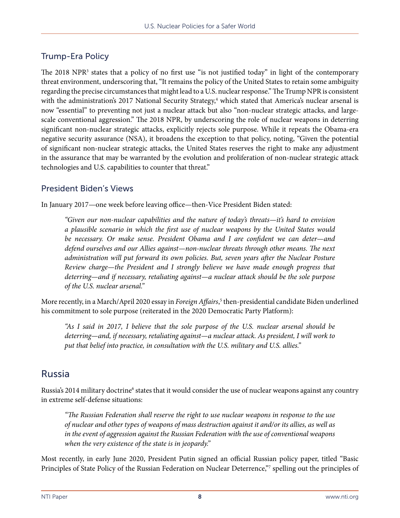### Trump-Era Policy

The 2018 NPR<sup>3</sup> states that a policy of no first use "is not justified today" in light of the contemporary threat environment, underscoring that, "It remains the policy of the United States to retain some ambiguity regarding the precise circumstances that might lead to a U.S. nuclear response." The Trump NPR is consistent with the administration's 2017 National Security Strategy,<sup>4</sup> which stated that America's nuclear arsenal is now "essential" to preventing not just a nuclear attack but also "non-nuclear strategic attacks, and largescale conventional aggression." The 2018 NPR, by underscoring the role of nuclear weapons in deterring significant non-nuclear strategic attacks, explicitly rejects sole purpose. While it repeats the Obama-era negative security assurance (NSA), it broadens the exception to that policy, noting, "Given the potential of significant non-nuclear strategic attacks, the United States reserves the right to make any adjustment in the assurance that may be warranted by the evolution and proliferation of non-nuclear strategic attack technologies and U.S. capabilities to counter that threat."

#### President Biden's Views

In January 2017—one week before leaving office—then-Vice President Biden stated:

*"Given our non-nuclear capabilities and the nature of today's threats—it's hard to envision a plausible scenario in which the first use of nuclear weapons by the United States would be necessary. Or make sense. President Obama and I are confident we can deter—and defend ourselves and our Allies against—non-nuclear threats through other means. The next administration will put forward its own policies. But, seven years after the Nuclear Posture Review charge—the President and I strongly believe we have made enough progress that deterring—and if necessary, retaliating against—a nuclear attack should be the sole purpose of the U.S. nuclear arsenal."*

More recently, in a March/April 2020 essay in *Foreign Affairs*, 5 then-presidential candidate Biden underlined his commitment to sole purpose (reiterated in the 2020 Democratic Party Platform):

*"As I said in 2017, I believe that the sole purpose of the U.S. nuclear arsenal should be deterring—and, if necessary, retaliating against—a nuclear attack. As president, I will work to put that belief into practice, in consultation with the U.S. military and U.S. allies."*

### Russia

Russia's 2014 military doctrine<sup>6</sup> states that it would consider the use of nuclear weapons against any country in extreme self-defense situations:

*"The Russian Federation shall reserve the right to use nuclear weapons in response to the use of nuclear and other types of weapons of mass destruction against it and/or its allies, as well as in the event of aggression against the Russian Federation with the use of conventional weapons when the very existence of the state is in jeopardy."*

Most recently, in early June 2020, President Putin signed an official Russian policy paper, titled "Basic Principles of State Policy of the Russian Federation on Nuclear Deterrence,"<sup>7</sup> spelling out the principles of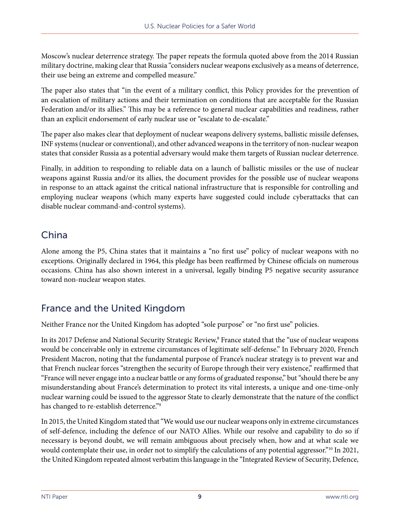Moscow's nuclear deterrence strategy. The paper repeats the formula quoted above from the 2014 Russian military doctrine, making clear that Russia "considers nuclear weapons exclusively as a means of deterrence, their use being an extreme and compelled measure."

The paper also states that "in the event of a military conflict, this Policy provides for the prevention of an escalation of military actions and their termination on conditions that are acceptable for the Russian Federation and/or its allies." This may be a reference to general nuclear capabilities and readiness, rather than an explicit endorsement of early nuclear use or "escalate to de-escalate."

The paper also makes clear that deployment of nuclear weapons delivery systems, ballistic missile defenses, INF systems (nuclear or conventional), and other advanced weapons in the territory of non-nuclear weapon states that consider Russia as a potential adversary would make them targets of Russian nuclear deterrence.

Finally, in addition to responding to reliable data on a launch of ballistic missiles or the use of nuclear weapons against Russia and/or its allies, the document provides for the possible use of nuclear weapons in response to an attack against the critical national infrastructure that is responsible for controlling and employing nuclear weapons (which many experts have suggested could include cyberattacks that can disable nuclear command-and-control systems).

## China

Alone among the P5, China states that it maintains a "no first use" policy of nuclear weapons with no exceptions. Originally declared in 1964, this pledge has been reaffirmed by Chinese officials on numerous occasions. China has also shown interest in a universal, legally binding P5 negative security assurance toward non-nuclear weapon states.

# France and the United Kingdom

Neither France nor the United Kingdom has adopted "sole purpose" or "no first use" policies.

In its 2017 Defense and National Security Strategic Review,<sup>8</sup> France stated that the "use of nuclear weapons would be conceivable only in extreme circumstances of legitimate self-defense." In February 2020, French President Macron, noting that the fundamental purpose of France's nuclear strategy is to prevent war and that French nuclear forces "strengthen the security of Europe through their very existence," reaffirmed that "France will never engage into a nuclear battle or any forms of graduated response," but "should there be any misunderstanding about France's determination to protect its vital interests, a unique and one-time-only nuclear warning could be issued to the aggressor State to clearly demonstrate that the nature of the conflict has changed to re-establish deterrence."9

In 2015, the United Kingdom stated that "We would use our nuclear weapons only in extreme circumstances of self-defence, including the defence of our NATO Allies. While our resolve and capability to do so if necessary is beyond doubt, we will remain ambiguous about precisely when, how and at what scale we would contemplate their use, in order not to simplify the calculations of any potential aggressor."<sup>10</sup> In 2021, the United Kingdom repeated almost verbatim this language in the "Integrated Review of Security, Defence,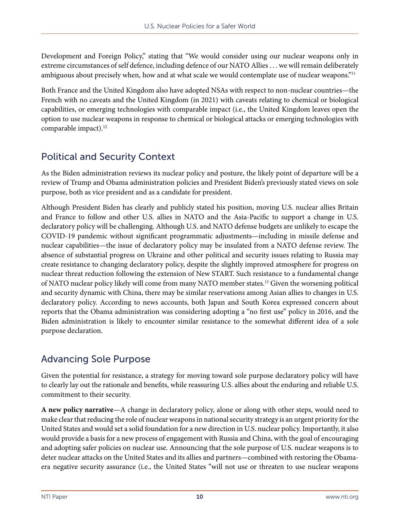Development and Foreign Policy," stating that "We would consider using our nuclear weapons only in extreme circumstances of self defence, including defence of our NATO Allies . . . we will remain deliberately ambiguous about precisely when, how and at what scale we would contemplate use of nuclear weapons."<sup>11</sup>

Both France and the United Kingdom also have adopted NSAs with respect to non-nuclear countries—the French with no caveats and the United Kingdom (in 2021) with caveats relating to chemical or biological capabilities, or emerging technologies with comparable impact (i.e., the United Kingdom leaves open the option to use nuclear weapons in response to chemical or biological attacks or emerging technologies with comparable impact).<sup>12</sup>

# Political and Security Context

As the Biden administration reviews its nuclear policy and posture, the likely point of departure will be a review of Trump and Obama administration policies and President Biden's previously stated views on sole purpose, both as vice president and as a candidate for president.

Although President Biden has clearly and publicly stated his position, moving U.S. nuclear allies Britain and France to follow and other U.S. allies in NATO and the Asia-Pacific to support a change in U.S. declaratory policy will be challenging. Although U.S. and NATO defense budgets are unlikely to escape the COVID-19 pandemic without significant programmatic adjustments—including in missile defense and nuclear capabilities—the issue of declaratory policy may be insulated from a NATO defense review. The absence of substantial progress on Ukraine and other political and security issues relating to Russia may create resistance to changing declaratory policy, despite the slightly improved atmosphere for progress on nuclear threat reduction following the extension of New START. Such resistance to a fundamental change of NATO nuclear policy likely will come from many NATO member states.13 Given the worsening political and security dynamic with China, there may be similar reservations among Asian allies to changes in U.S. declaratory policy. According to news accounts, both Japan and South Korea expressed concern about reports that the Obama administration was considering adopting a "no first use" policy in 2016, and the Biden administration is likely to encounter similar resistance to the somewhat different idea of a sole purpose declaration.

# Advancing Sole Purpose

Given the potential for resistance, a strategy for moving toward sole purpose declaratory policy will have to clearly lay out the rationale and benefits, while reassuring U.S. allies about the enduring and reliable U.S. commitment to their security.

**A new policy narrative**—A change in declaratory policy, alone or along with other steps, would need to make clear that reducing the role of nuclear weapons in national security strategy is an urgent priority for the United States and would set a solid foundation for a new direction in U.S. nuclear policy. Importantly, it also would provide a basis for a new process of engagement with Russia and China, with the goal of encouraging and adopting safer policies on nuclear use. Announcing that the sole purpose of U.S. nuclear weapons is to deter nuclear attacks on the United States and its allies and partners—combined with restoring the Obamaera negative security assurance (i.e., the United States "will not use or threaten to use nuclear weapons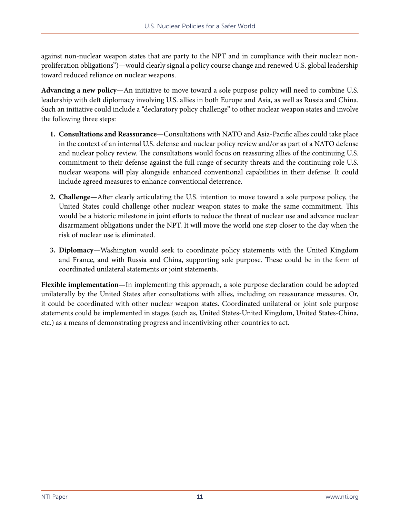against non-nuclear weapon states that are party to the NPT and in compliance with their nuclear nonproliferation obligations")—would clearly signal a policy course change and renewed U.S. global leadership toward reduced reliance on nuclear weapons.

**Advancing a new policy—**An initiative to move toward a sole purpose policy will need to combine U.S. leadership with deft diplomacy involving U.S. allies in both Europe and Asia, as well as Russia and China. Such an initiative could include a "declaratory policy challenge" to other nuclear weapon states and involve the following three steps:

- **1. Consultations and Reassurance**—Consultations with NATO and Asia-Pacific allies could take place in the context of an internal U.S. defense and nuclear policy review and/or as part of a NATO defense and nuclear policy review. The consultations would focus on reassuring allies of the continuing U.S. commitment to their defense against the full range of security threats and the continuing role U.S. nuclear weapons will play alongside enhanced conventional capabilities in their defense. It could include agreed measures to enhance conventional deterrence.
- **2. Challenge—**After clearly articulating the U.S. intention to move toward a sole purpose policy, the United States could challenge other nuclear weapon states to make the same commitment. This would be a historic milestone in joint efforts to reduce the threat of nuclear use and advance nuclear disarmament obligations under the NPT. It will move the world one step closer to the day when the risk of nuclear use is eliminated.
- **3. Diplomacy**—Washington would seek to coordinate policy statements with the United Kingdom and France, and with Russia and China, supporting sole purpose. These could be in the form of coordinated unilateral statements or joint statements.

**Flexible implementation**—In implementing this approach, a sole purpose declaration could be adopted unilaterally by the United States after consultations with allies, including on reassurance measures. Or, it could be coordinated with other nuclear weapon states. Coordinated unilateral or joint sole purpose statements could be implemented in stages (such as, United States-United Kingdom, United States-China, etc.) as a means of demonstrating progress and incentivizing other countries to act.